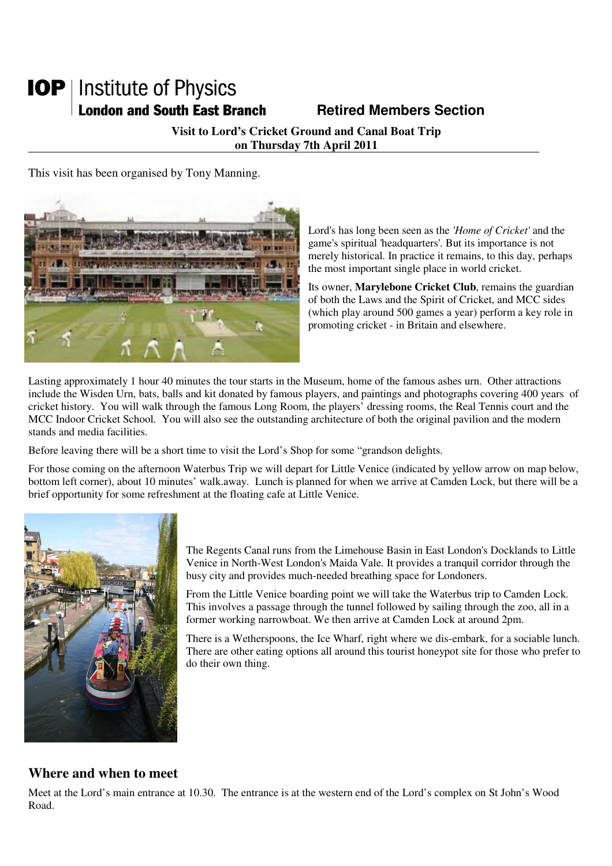# **IOP** | Institute of Physics **London and South East Branch Fig. 2.1 Retired Members Section**

**Visit to Lord's Cricket Ground and Canal Boat Trip on Thursday 7th April 2011** 

This visit has been organised by Tony Manning.



Lord's has long been seen as the *'Home of Cricket'* and the game's spiritual 'headquarters'. But its importance is not merely historical. In practice it remains, to this day, perhaps the most important single place in world cricket.

Its owner, **Marylebone Cricket Club**, remains the guardian of both the Laws and the Spirit of Cricket, and MCC sides (which play around 500 games a year) perform a key role in promoting cricket - in Britain and elsewhere.

Lasting approximately 1 hour 40 minutes the tour starts in the Museum, home of the famous ashes urn. Other attractions include the Wisden Urn, bats, balls and kit donated by famous players, and paintings and photographs covering 400 years of cricket history. You will walk through the famous Long Room, the players' dressing rooms, the Real Tennis court and the MCC Indoor Cricket School. You will also see the outstanding architecture of both the original pavilion and the modern stands and media facilities.

Before leaving there will be a short time to visit the Lord's Shop for some "grandson delights.

For those coming on the afternoon Waterbus Trip we will depart for Little Venice (indicated by yellow arrow on map below, bottom left corner), about 10 minutes' walk.away. Lunch is planned for when we arrive at Camden Lock, but there will be a brief opportunity for some refreshment at the floating cafe at Little Venice.



The Regents Canal runs from the Limehouse Basin in East London's Docklands to Little Venice in North-West London's Maida Vale. It provides a tranquil corridor through the busy city and provides much-needed breathing space for Londoners.

From the Little Venice boarding point we will take the Waterbus trip to Camden Lock. This involves a passage through the tunnel followed by sailing through the zoo, all in a former working narrowboat. We then arrive at Camden Lock at around 2pm.

There is a Wetherspoons, the Ice Wharf, right where we dis-embark, for a sociable lunch. There are other eating options all around this tourist honeypot site for those who prefer to do their own thing.

#### **Where and when to meet**

Meet at the Lord's main entrance at 10.30. The entrance is at the western end of the Lord's complex on St John's Wood Road.